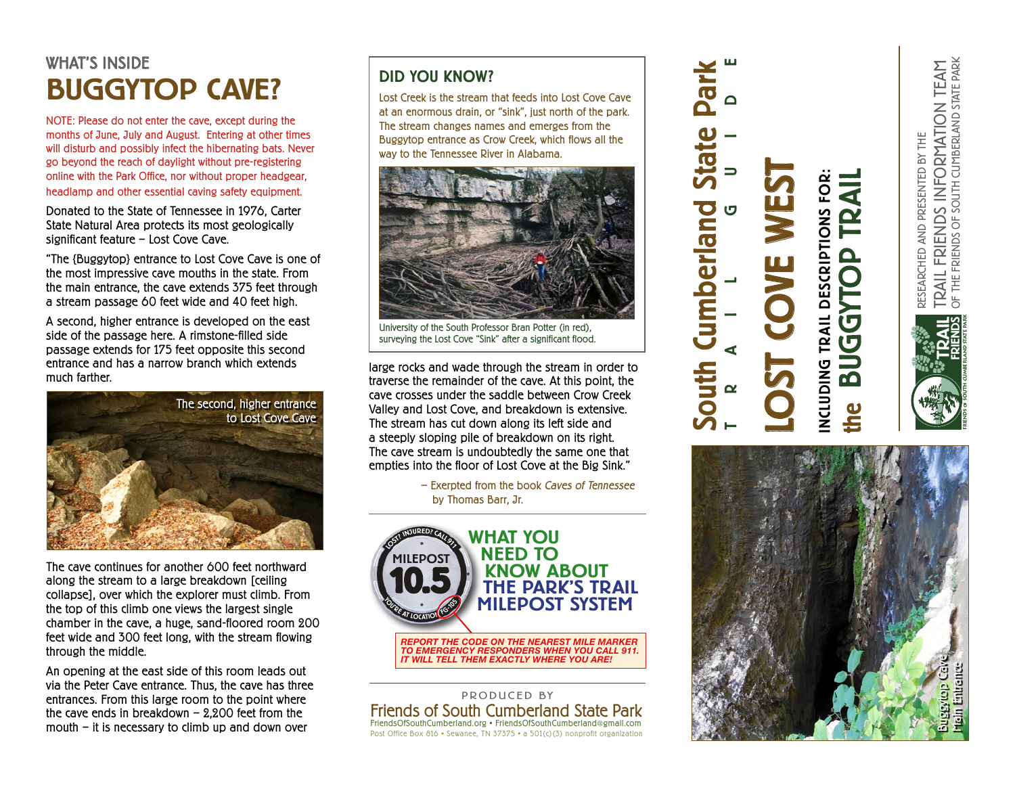# WHAT'S INSIDE BUGGYTOP CAVE?

NOTE: Please do not enter the cave, except during the months of June, July and August. Entering at other times will disturb and possibly infect the hibernating bats. Never go beyond the reach of daylight without pre-registering online with the Park Office, nor without proper headgear, headlamp and other essential caving safety equipment.

Donated to the State of Tennessee in 1976, Carter State Natural Area protects its most geologically significant feature – Lost Cove Cave.

"The {Buggytop} entrance to Lost Cove Cave is one of the most impressive cave mouths in the state. From the main entrance, the cave extends 375 feet through a stream passage 60 feet wide and 40 feet high.

A second, higher entrance is developed on the east side of the passage here. A rimstone-filled side passage extends for 175 feet opposite this second entrance and has a narrow branch which extends much farther.



The cave continues for another 600 feet northward along the stream to a large breakdown [ceiling collapse], over which the explorer must climb. From the top of this climb one views the largest single chamber in the cave, a huge, sand-floored room 200 feet wide and 300 feet long, with the stream flowing through the middle.

An opening at the east side of this room leads out via the Peter Cave entrance. Thus, the cave has three entrances. From this large room to the point where the cave ends in breakdown – 2,200 feet from the mouth – it is necessary to climb up and down over

## DID YOU KNOW?

Lost Creek is the stream that feeds into Lost Cove Cave at an enormous drain, or "sink", just north of the park. The stream changes names and emerges from the Buggytop entrance as Crow Creek, which flows all the way to the Tennessee River in Alabama.



University of the South Professor Bran Potter (in red), surveying the Lost Cove "Sink" after a significant flood.

large rocks and wade through the stream in order to traverse the remainder of the cave. At this point, the cave crosses under the saddle between Crow Creek Valley and Lost Cove, and breakdown is extensive. The stream has cut down along its left side and a steeply sloping pile of breakdown on its right. The cave stream is undoubtedly the same one that empties into the floor of Lost Cove at the Big Sink."

> — Exerpted from the book Caves of Tennessee by Thomas Barr, Jr.



Friends of South Cumberland State Park FriendsOfSouthCumberland.org • FriendsOfSouthCumberland@gmail.com Post Office Box 816 • Sewanee, TN 37375 • a 501(c)(3) nonprofit organization PRODUCED BY





INCLUDING TRAIL DESCRIPTIONS FOR: the BUGGYTOP TRAIL

**NCLUDING TRAIL DESCRIPTIONS** 

 $\overline{\mathbf{r}}$ 

TRAIL FRIENDS INFORMATION TEAM<br>of the friends of south cumberland state park OF THE FRIENDS OF SOUTH CUMBERLAND STATE PARK TRAIL FRIENDS INFORMATION TEAM RESEARCHED AND PRESENTED BY THE RESEARCHED AND PRESENTED BY THE

**FRIENDS OF SOUTH CUMBERLAND STATE PARK**

 $\vdash$  $\boldsymbol{\alpha}$ AIL FRIENDS